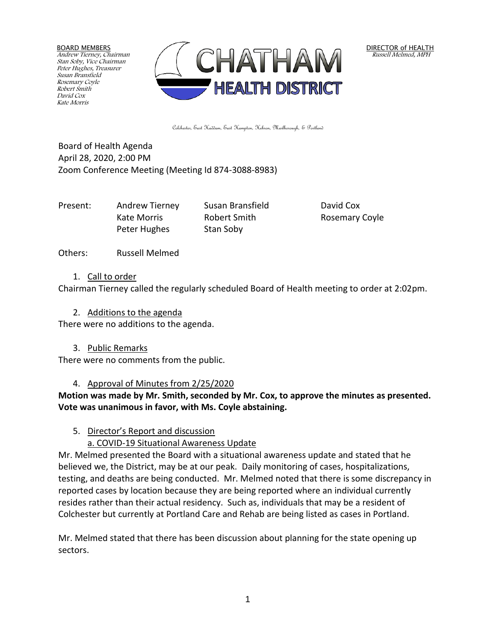BOARD MEMBERS Andrew Tierney, Chairman Stan Soby, Vice Chairman Peter Hughes, Treasurer Susan Bransfield Rosemary Coyle Robert Smith David Cox Kate Morris



DIRECTOR of HEALTH Russell Melmed, MPH

Colchester, East Haddam, East Hampton, Hebron, Marlborough, & Portland

Board of Health Agenda April 28, 2020, 2:00 PM Zoom Conference Meeting (Meeting Id 874-3088-8983)

Present: Andrew Tierney Susan Bransfield David Cox Kate Morris **Robert Smith** Rosemary Coyle Peter Hughes Stan Soby

Others: Russell Melmed

1. Call to order

Chairman Tierney called the regularly scheduled Board of Health meeting to order at 2:02pm.

2. Additions to the agenda

There were no additions to the agenda.

3. Public Remarks

There were no comments from the public.

## 4. Approval of Minutes from 2/25/2020

**Motion was made by Mr. Smith, seconded by Mr. Cox, to approve the minutes as presented. Vote was unanimous in favor, with Ms. Coyle abstaining.**

## 5. Director's Report and discussion

# a. COVID-19 Situational Awareness Update

Mr. Melmed presented the Board with a situational awareness update and stated that he believed we, the District, may be at our peak. Daily monitoring of cases, hospitalizations, testing, and deaths are being conducted. Mr. Melmed noted that there is some discrepancy in reported cases by location because they are being reported where an individual currently resides rather than their actual residency. Such as, individuals that may be a resident of Colchester but currently at Portland Care and Rehab are being listed as cases in Portland.

Mr. Melmed stated that there has been discussion about planning for the state opening up sectors.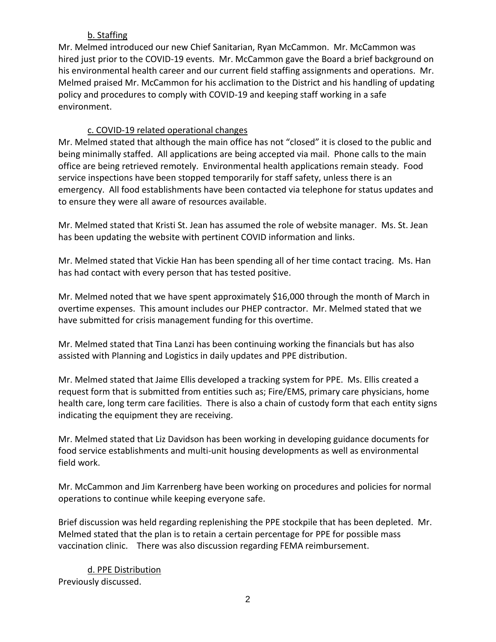# b. Staffing

Mr. Melmed introduced our new Chief Sanitarian, Ryan McCammon. Mr. McCammon was hired just prior to the COVID-19 events. Mr. McCammon gave the Board a brief background on his environmental health career and our current field staffing assignments and operations. Mr. Melmed praised Mr. McCammon for his acclimation to the District and his handling of updating policy and procedures to comply with COVID-19 and keeping staff working in a safe environment.

# c. COVID-19 related operational changes

Mr. Melmed stated that although the main office has not "closed" it is closed to the public and being minimally staffed. All applications are being accepted via mail. Phone calls to the main office are being retrieved remotely. Environmental health applications remain steady. Food service inspections have been stopped temporarily for staff safety, unless there is an emergency. All food establishments have been contacted via telephone for status updates and to ensure they were all aware of resources available.

Mr. Melmed stated that Kristi St. Jean has assumed the role of website manager. Ms. St. Jean has been updating the website with pertinent COVID information and links.

Mr. Melmed stated that Vickie Han has been spending all of her time contact tracing. Ms. Han has had contact with every person that has tested positive.

Mr. Melmed noted that we have spent approximately \$16,000 through the month of March in overtime expenses. This amount includes our PHEP contractor. Mr. Melmed stated that we have submitted for crisis management funding for this overtime.

Mr. Melmed stated that Tina Lanzi has been continuing working the financials but has also assisted with Planning and Logistics in daily updates and PPE distribution.

Mr. Melmed stated that Jaime Ellis developed a tracking system for PPE. Ms. Ellis created a request form that is submitted from entities such as; Fire/EMS, primary care physicians, home health care, long term care facilities. There is also a chain of custody form that each entity signs indicating the equipment they are receiving.

Mr. Melmed stated that Liz Davidson has been working in developing guidance documents for food service establishments and multi-unit housing developments as well as environmental field work.

Mr. McCammon and Jim Karrenberg have been working on procedures and policies for normal operations to continue while keeping everyone safe.

Brief discussion was held regarding replenishing the PPE stockpile that has been depleted. Mr. Melmed stated that the plan is to retain a certain percentage for PPE for possible mass vaccination clinic. There was also discussion regarding FEMA reimbursement.

d. PPE Distribution Previously discussed.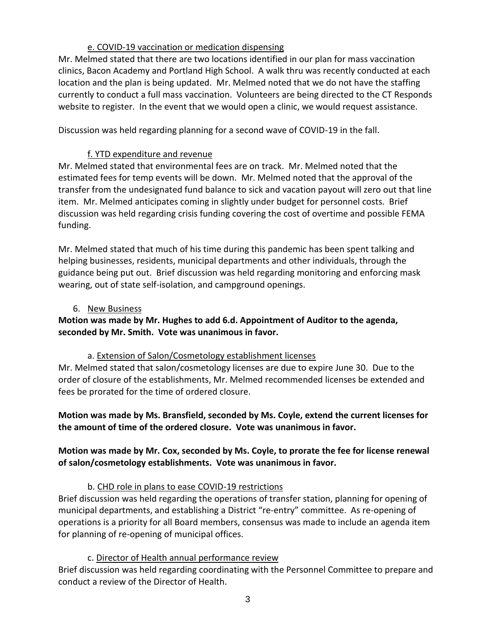### e. COVID-19 vaccination or medication dispensing

Mr. Melmed stated that there are two locations identified in our plan for mass vaccination clinics, Bacon Academy and Portland High School. A walk thru was recently conducted at each location and the plan is being updated. Mr. Melmed noted that we do not have the staffing currently to conduct a full mass vaccination. Volunteers are being directed to the CT Responds website to register. In the event that we would open a clinic, we would request assistance.

Discussion was held regarding planning for a second wave of COVID-19 in the fall.

### f. YTD expenditure and revenue

Mr. Melmed stated that environmental fees are on track. Mr. Melmed noted that the estimated fees for temp events will be down. Mr. Melmed noted that the approval of the transfer from the undesignated fund balance to sick and vacation payout will zero out that line item. Mr. Melmed anticipates coming in slightly under budget for personnel costs. Brief discussion was held regarding crisis funding covering the cost of overtime and possible FEMA funding.

Mr. Melmed stated that much of his time during this pandemic has been spent talking and helping businesses, residents, municipal departments and other individuals, through the guidance being put out. Brief discussion was held regarding monitoring and enforcing mask wearing, out of state self-isolation, and campground openings.

#### 6. New Business

# **Motion was made by Mr. Hughes to add 6.d. Appointment of Auditor to the agenda, seconded by Mr. Smith. Vote was unanimous in favor.**

#### a. Extension of Salon/Cosmetology establishment licenses

Mr. Melmed stated that salon/cosmetology licenses are due to expire June 30. Due to the order of closure of the establishments, Mr. Melmed recommended licenses be extended and fees be prorated for the time of ordered closure.

**Motion was made by Ms. Bransfield, seconded by Ms. Coyle, extend the current licenses for the amount of time of the ordered closure. Vote was unanimous in favor.**

## **Motion was made by Mr. Cox, seconded by Ms. Coyle, to prorate the fee for license renewal of salon/cosmetology establishments. Vote was unanimous in favor.**

## b. CHD role in plans to ease COVID-19 restrictions

Brief discussion was held regarding the operations of transfer station, planning for opening of municipal departments, and establishing a District "re-entry" committee. As re-opening of operations is a priority for all Board members, consensus was made to include an agenda item for planning of re-opening of municipal offices.

#### c. Director of Health annual performance review

Brief discussion was held regarding coordinating with the Personnel Committee to prepare and conduct a review of the Director of Health.